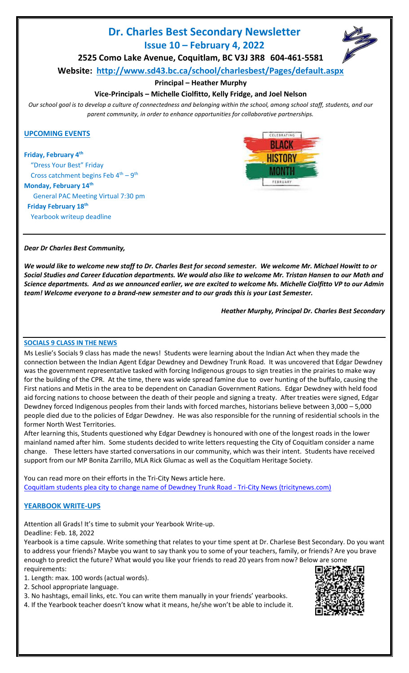# **Dr. Charles Best Secondary Newsletter Issue 10 – February 4, 2022**



**Website: <http://www.sd43.bc.ca/school/charlesbest/Pages/default.aspx>**

## **Principal – Heather Murphy**

## **Vice-Principals – Michelle Ciolfitto, Kelly Fridge, and Joel Nelson**

*Our school goal is to develop a culture of connectedness and belonging within the school, among school staff, students, and our parent community, in order to enhance opportunities for collaborative partnerships.*

## **UPCOMING EVENTS**

#### **Friday, February 4th**

 "Dress Your Best" Friday Cross catchment begins Feb  $4^{\text{th}} - 9^{\text{th}}$ **Monday, February 14th** General PAC Meeting Virtual 7:30 pm  **Friday February 18th**



## *Dear Dr Charles Best Community,*

Yearbook writeup deadline

*We would like to welcome new staff to Dr. Charles Best for second semester. We welcome Mr. Michael Howitt to or Social Studies and Career Education departments. We would also like to welcome Mr. Tristan Hansen to our Math and Science departments. And as we announced earlier, we are excited to welcome Ms. Michelle Ciolfitto VP to our Admin team! Welcome everyone to a brand-new semester and to our grads this is your Last Semester.*

*Heather Murphy, Principal Dr. Charles Best Secondary* 

## **SOCIALS 9 CLASS IN THE NEWS**

Ms Leslie's Socials 9 class has made the news! Students were learning about the Indian Act when they made the connection between the Indian Agent Edgar Dewdney and Dewdney Trunk Road. It was uncovered that Edgar Dewdney was the government representative tasked with forcing Indigenous groups to sign treaties in the prairies to make way for the building of the CPR. At the time, there was wide spread famine due to over hunting of the buffalo, causing the First nations and Metis in the area to be dependent on Canadian Government Rations. Edgar Dewdney with held food aid forcing nations to choose between the death of their people and signing a treaty. After treaties were signed, Edgar Dewdney forced Indigenous peoples from their lands with forced marches, historians believe between 3,000 – 5,000 people died due to the policies of Edgar Dewdney. He was also responsible for the running of residential schools in the former North West Territories.

After learning this, Students questioned why Edgar Dewdney is honoured with one of the longest roads in the lower mainland named after him. Some students decided to write letters requesting the City of Coquitlam consider a name change. These letters have started conversations in our community, which was their intent. Students have received support from our MP Bonita Zarrillo, MLA Rick Glumac as well as the Coquitlam Heritage Society.

You can read more on their efforts in the Tri-City News article here. [Coquitlam students plea city to change name of Dewdney Trunk Road -](https://www.tricitynews.com/local-news/is-it-time-to-rename-dewdney-trunk-road-a-group-of-determined-coquitlam-students-say-yes-4972847) Tri-City News (tricitynews.com)

## **YEARBOOK WRITE-UPS**

Attention all Grads! It's time to submit your Yearbook Write-up.

Deadline: Feb. 18, 2022

Yearbook is a time capsule. Write something that relates to your time spent at Dr. Charlese Best Secondary. Do you want to address your friends? Maybe you want to say thank you to some of your teachers, family, or friends? Are you brave enough to predict the future? What would you like your friends to read 20 years from now? Below are some requirements:

1. Length: max. 100 words (actual words).

2. School appropriate language.

3. No hashtags, email links, etc. You can write them manually in your friends' yearbooks.

4. If the Yearbook teacher doesn't know what it means, he/she won't be able to include it.

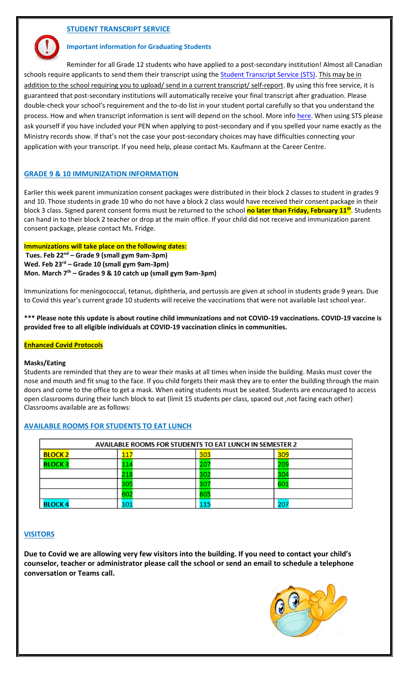## **STUDENT TRANSCRIPT SERVICE**

#### **Important information for Graduating Students**

Reminder for all Grade 12 students who have applied to a post-secondary institution! Almost all Canadian schools require applicants to send them their transcript using the **Student Transcript Service (STS)**. This may be in addition to the school requiring you to upload/ send in a current transcript/ self-report. By using this free service, it is guaranteed that post-secondary institutions will automatically receive your final transcript after graduation. Please double-check your school's requirement and the to-do list in your student portal carefully so that you understand the process. How and when transcript information is sent will depend on the school. More inf[o here.](https://www2.gov.bc.ca/gov/content/education-training/k-12/support/transcripts-and-certificates/post-secondary-selection) When using STS please ask yourself if you have included your PEN when applying to post-secondary and if you spelled your name exactly as the Ministry records show. If that's not the case your post-secondary choices may have difficulties connecting your application with your transcript. If you need help, please contact Ms. Kaufmann at the Career Centre.

#### **GRADE 9 & 10 IMMUNIZATION INFORMATION**

Earlier this week parent immunization consent packages were distributed in their block 2 classes to student in grades 9 and 10. Those students in grade 10 who do not have a block 2 class would have received their consent package in their block 3 class. Signed parent consent forms must be returned to the school **no later than Friday, February 11th**. Students can hand in to their block 2 teacher or drop at the main office. If your child did not receive and immunization parent consent package, please contact Ms. Fridge.

#### **Immunizations will take place on the following dates:**

**Tues. Feb 22nd – Grade 9 (small gym 9am-3pm) Wed. Feb 23rd – Grade 10 (small gym 9am-3pm) Mon. March 7th – Grades 9 & 10 catch up (small gym 9am-3pm)**

Immunizations for meningococcal, tetanus, diphtheria, and pertussis are given at school in students grade 9 years. Due to Covid this year's current grade 10 students will receive the vaccinations that were not available last school year.

**\*\*\* Please note this update is about routine child immunizations and not COVID-19 vaccinations. COVID-19 vaccine is provided free to all eligible individuals at COVID-19 vaccination clinics in communities.**

#### **Enhanced Covid Protocols**

#### **Masks/Eating**

Students are reminded that they are to wear their masks at all times when inside the building. Masks must cover the nose and mouth and fit snug to the face. If you child forgets their mask they are to enter the building through the main doors and come to the office to get a mask. When eating students must be seated. Students are encouraged to access open classrooms during their lunch block to eat (limit 15 students per class, spaced out ,not facing each other) Classrooms available are as follows:

#### **AVAILABLE ROOMS FOR STUDENTS TO EAT LUNCH**

| <b>AVAILABLE ROOMS FOR STUDENTS TO EAT LUNCH IN SEMESTER 2</b> |     |     |            |  |
|----------------------------------------------------------------|-----|-----|------------|--|
| <b>BLOCK 2</b>                                                 |     | 303 | <b>309</b> |  |
| <b>BLOCK3</b>                                                  |     |     | 209        |  |
|                                                                |     |     | 30.        |  |
|                                                                | 305 |     | 601        |  |
|                                                                | 602 |     |            |  |
| <b>BLOCK4</b>                                                  | 10: |     | 20         |  |

#### **VISITORS**

**Due to Covid we are allowing very few visitors into the building. If you need to contact your child's counselor, teacher or administrator please call the school or send an email to schedule a telephone conversation or Teams call.** 

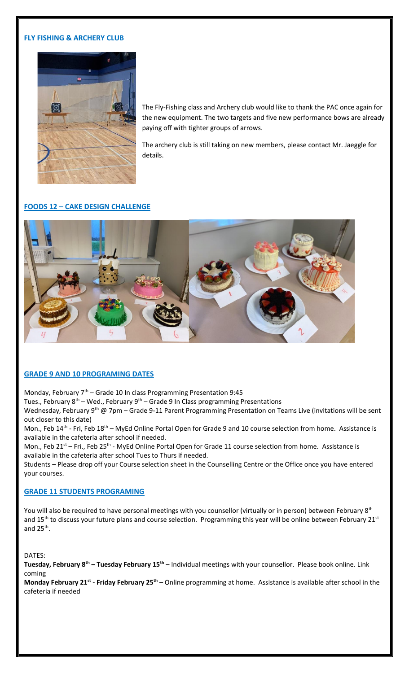### **FLY FISHING & ARCHERY CLUB**



The Fly-Fishing class and Archery club would like to thank the PAC once again for the new equipment. The two targets and five new performance bows are already paying off with tighter groups of arrows.

The archery club is still taking on new members, please contact Mr. Jaeggle for details.

## **FOODS 12 – CAKE DESIGN CHALLENGE**



#### **GRADE 9 AND 10 PROGRAMING DATES**

Monday, February  $7<sup>th</sup>$  – Grade 10 In class Programming Presentation 9:45

Tues., February  $8^{th}$  – Wed., February  $9^{th}$  – Grade 9 In Class programming Presentations

Wednesday, February 9<sup>th</sup> @ 7pm – Grade 9-11 Parent Programming Presentation on Teams Live (invitations will be sent out closer to this date)

Mon., Feb 14<sup>th</sup> - Fri, Feb 18<sup>th</sup> – MyEd Online Portal Open for Grade 9 and 10 course selection from home. Assistance is available in the cafeteria after school if needed.

Mon., Feb 21<sup>st</sup> – Fri., Feb 25<sup>th</sup> - MyEd Online Portal Open for Grade 11 course selection from home. Assistance is available in the cafeteria after school Tues to Thurs if needed.

Students – Please drop off your Course selection sheet in the Counselling Centre or the Office once you have entered your courses.

#### **GRADE 11 STUDENTS PROGRAMING**

You will also be required to have personal meetings with you counsellor (virtually or in person) between February 8<sup>th</sup> and 15<sup>th</sup> to discuss your future plans and course selection. Programming this year will be online between February 21<sup>st</sup> and 25<sup>th</sup>.

DATES:

**Tuesday, February 8th – Tuesday February 15th** – Individual meetings with your counsellor. Please book online. Link coming

**Monday February 21st - Friday February 25th** – Online programming at home. Assistance is available after school in the cafeteria if needed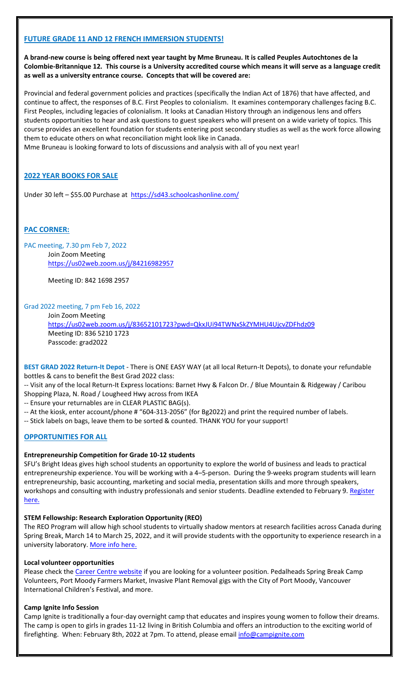## **FUTURE GRADE 11 AND 12 FRENCH IMMERSION STUDENTS!**

**A brand-new course is being offered next year taught by Mme Bruneau. It is called Peuples Autochtones de la Colombie-Britannique 12. This course is a University accredited course which means it will serve as a language credit as well as a university entrance course. Concepts that will be covered are:** 

Provincial and federal government policies and practices (specifically the Indian Act of 1876) that have affected, and continue to affect, the responses of B.C. First Peoples to colonialism. It examines contemporary challenges facing B.C. First Peoples, including legacies of colonialism. It looks at Canadian History through an indigenous lens and offers students opportunities to hear and ask questions to guest speakers who will present on a wide variety of topics. This course provides an excellent foundation for students entering post secondary studies as well as the work force allowing them to educate others on what reconciliation might look like in Canada.

Mme Bruneau is looking forward to lots of discussions and analysis with all of you next year!

## **2022 YEAR BOOKS FOR SALE**

Under 30 left – \$55.00 Purchase at <https://sd43.schoolcashonline.com/>

## **PAC CORNER:**

PAC meeting, 7.30 pm Feb 7, 2022 Join Zoom Meeting <https://us02web.zoom.us/j/84216982957>

Meeting ID: 842 1698 2957

Grad 2022 meeting, 7 pm Feb 16, 2022

Join Zoom Meeting <https://us02web.zoom.us/j/83652101723?pwd=QkxJUi94TWNxSkZYMHU4UjcvZDFhdz09> Meeting ID: 836 5210 1723 Passcode: grad2022

**BEST GRAD 2022 Return-It Depot** - There is ONE EASY WAY (at all local Return-It Depots), to donate your refundable bottles & cans to benefit the Best Grad 2022 class:

-- Visit any of the local Return-It Express locations: Barnet Hwy & Falcon Dr. / Blue Mountain & Ridgeway / Caribou Shopping Plaza, N. Road / Lougheed Hwy across from IKEA

-- Ensure your returnables are in CLEAR PLASTIC BAG(s).

- -- At the kiosk, enter account/phone # "604-313-2056" (for Bg2022) and print the required number of labels.
- -- Stick labels on bags, leave them to be sorted & counted. THANK YOU for your support!

#### **OPPORTUNITIES FOR ALL**

#### **Entrepreneurship Competition for Grade 10-12 students**

SFU's Bright Ideas gives high school students an opportunity to explore the world of business and leads to practical entrepreneurship experience. You will be working with a 4–5-person. During the 9-weeks program students will learn entrepreneurship, basic accounting, marketing and social media, presentation skills and more through speakers, workshops and consulting with industry professionals and senior students. Deadline extended to February 9. [Register](https://www.brightideassfu.com/about) [here.](https://www.brightideassfu.com/about)

#### **STEM Fellowship: Research Exploration Opportunity (REO)**

The REO Program will allow high school students to virtually shadow mentors at research facilities across Canada during Spring Break, March 14 to March 25, 2022, and it will provide students with the opportunity to experience research in a university laboratory. [More info here.](https://stemfellowship.org/research-programs/)

#### **Local volunteer opportunities**

Please check th[e Career Centre website](https://www.sd43.bc.ca/school/charlesbest/ProgramsServices/career/Pages/EmploymentVolunteering.aspx?login=-117538193#/=) if you are looking for a volunteer position. Pedalheads Spring Break Camp Volunteers, Port Moody Farmers Market, Invasive Plant Removal gigs with the City of Port Moody, Vancouver International Children's Festival, and more.

#### **Camp Ignite Info Session**

Camp Ignite is traditionally a four-day overnight camp that educates and inspires young women to follow their dreams. The camp is open to girls in grades 11-12 living in British Columbia and offers an introduction to the exciting world of firefighting. When: February 8th, 2022 at 7pm. To attend, please email *info@campignite.com*